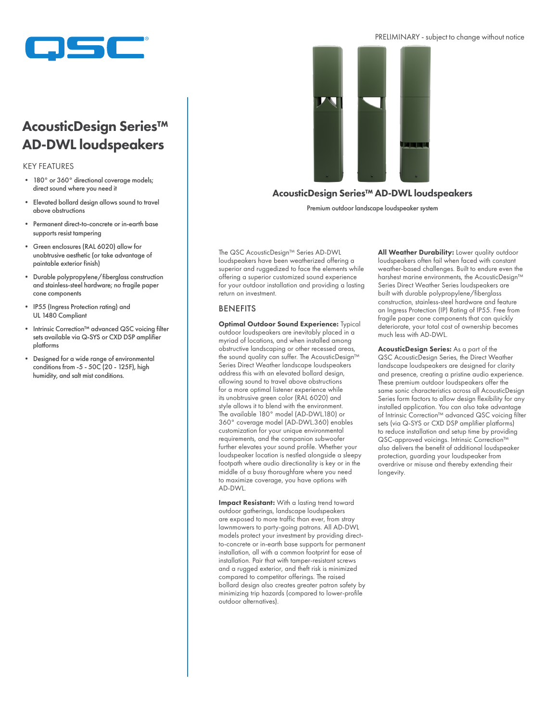

# AcousticDesign Series™ AD-DWL loudspeakers

#### KEY FEATURES

- 180° or 360° directional coverage models; direct sound where you need it
- Elevated bollard design allows sound to travel above obstructions
- Permanent direct-to-concrete or in-earth base supports resist tampering
- Green enclosures (RAL 6020) allow for unobtrusive aesthetic (or take advantage of paintable exterior finish)
- Durable polypropylene/fiberglass construction and stainless-steel hardware; no fragile paper cone components
- IP55 (Ingress Protection rating) and UL 1480 Compliant
- Intrinsic Correction™ advanced QSC voicing filter sets available via Q-SYS or CXD DSP amplifier platforms
- Designed for a wide range of environmental conditions from -5 - 50C (20 - 125F), high humidity, and salt mist conditions.



## AcousticDesign Series™ AD-DWL loudspeakers

Premium outdoor landscape loudspeaker system

The QSC AcousticDesign™ Series AD-DWL loudspeakers have been weatherized offering a superior and ruggedized to face the elements while offering a superior customized sound experience for your outdoor installation and providing a lasting return on investment.

### BENEFITS

Optimal Outdoor Sound Experience: Typical outdoor loudspeakers are inevitably placed in a myriad of locations, and when installed among obstructive landscaping or other recessed areas, the sound quality can suffer. The AcousticDesign™ Series Direct Weather landscape loudspeakers address this with an elevated bollard design, allowing sound to travel above obstructions for a more optimal listener experience while its unobtrusive green color (RAL 6020) and style allows it to blend with the environment. The available 180° model (AD-DWL.180) or 360° coverage model (AD-DWL.360) enables customization for your unique environmental requirements, and the companion subwoofer further elevates your sound profile. Whether your loudspeaker location is nestled alongside a sleepy footpath where audio directionality is key or in the middle of a busy thoroughfare where you need to maximize coverage, you have options with AD-DWL.

Impact Resistant: With a lasting trend toward outdoor gatherings, landscape loudspeakers are exposed to more traffic than ever, from stray lawnmowers to party-going patrons. All AD-DWL models protect your investment by providing directto-concrete or in-earth base supports for permanent installation, all with a common footprint for ease of installation. Pair that with tamper-resistant screws and a rugged exterior, and theft risk is minimized compared to competitor offerings. The raised bollard design also creates greater patron safety by minimizing trip hazards (compared to lower-profile outdoor alternatives).

All Weather Durability: Lower quality outdoor loudspeakers often fail when faced with constant weather-based challenges. Built to endure even the harshest marine environments, the AcousticDesign™ Series Direct Weather Series loudspeakers are built with durable polypropylene/fiberglass construction, stainless-steel hardware and feature an Ingress Protection (IP) Rating of IP55. Free from fragile paper cone components that can quickly deteriorate, your total cost of ownership becomes much less with AD-DWL.

AcousticDesign Series: As a part of the QSC AcousticDesign Series, the Direct Weather landscape loudspeakers are designed for clarity and presence, creating a pristine audio experience. These premium outdoor loudspeakers offer the same sonic characteristics across all AcousticDesign Series form factors to allow design flexibility for any installed application. You can also take advantage of Intrinsic Correction™ advanced QSC voicing filter sets (via Q-SYS or CXD DSP amplifier platforms) to reduce installation and setup time by providing QSC-approved voicings. Intrinsic Correction<sup>™</sup> also delivers the benefit of additional loudspeaker protection, guarding your loudspeaker from overdrive or misuse and thereby extending their longevity.